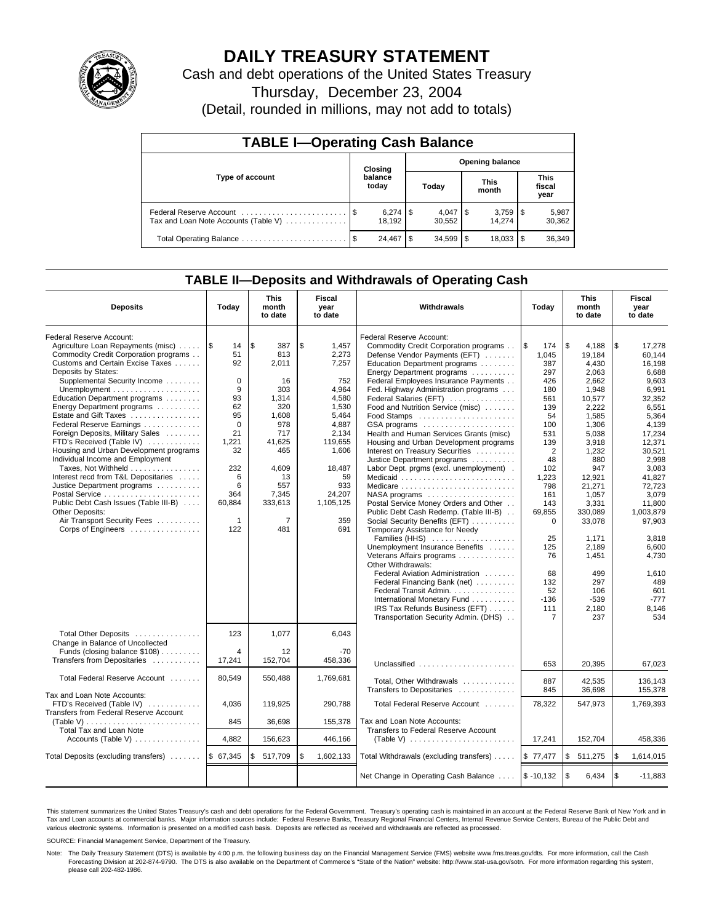

# **DAILY TREASURY STATEMENT**

Cash and debt operations of the United States Treasury

Thursday, December 23, 2004

(Detail, rounded in millions, may not add to totals)

| <b>TABLE I-Operating Cash Balance</b>                           |      |                  |                        |                              |  |                                 |                               |                 |  |  |
|-----------------------------------------------------------------|------|------------------|------------------------|------------------------------|--|---------------------------------|-------------------------------|-----------------|--|--|
|                                                                 |      | Closing          | <b>Opening balance</b> |                              |  |                                 |                               |                 |  |  |
| Type of account                                                 |      | balance<br>today |                        | Today                        |  | <b>This</b><br>month            | <b>This</b><br>fiscal<br>year |                 |  |  |
| Federal Reserve Account<br>Tax and Loan Note Accounts (Table V) |      | 18.192           |                        | $4,047$ $\sqrt{5}$<br>30,552 |  | $3,759$ $\frac{1}{3}$<br>14.274 |                               | 5,987<br>30,362 |  |  |
| Total Operating Balance                                         | - \$ | 24.467           | \$.                    | $34.599$ \$                  |  | 18.033                          |                               | 36,349          |  |  |

### **TABLE II—Deposits and Withdrawals of Operating Cash**

| <b>Deposits</b>                                    | Today        | <b>This</b><br>month<br>to date | <b>Fiscal</b><br>year<br>to date | <b>Withdrawals</b>                                           | <b>This</b><br>Today<br>month<br>to date |               | <b>Fiscal</b><br>year<br>to date |
|----------------------------------------------------|--------------|---------------------------------|----------------------------------|--------------------------------------------------------------|------------------------------------------|---------------|----------------------------------|
| Federal Reserve Account:                           |              |                                 |                                  | Federal Reserve Account:                                     |                                          |               |                                  |
| Agriculture Loan Repayments (misc)                 | 1\$<br>14    | \$<br>387                       | \$<br>1.457                      | Commodity Credit Corporation programs                        | l \$<br>174                              | \$<br>4,188   | \$<br>17,278                     |
| Commodity Credit Corporation programs              | 51           | 813                             | 2,273                            | Defense Vendor Payments (EFT)                                | 1.045                                    | 19.184        | 60.144                           |
| Customs and Certain Excise Taxes                   | 92           | 2,011                           | 7,257                            | Education Department programs                                | 387                                      | 4.430         | 16.198                           |
| Deposits by States:                                |              |                                 |                                  | Energy Department programs                                   | 297                                      | 2.063         | 6.688                            |
| Supplemental Security Income                       | $\Omega$     | 16                              | 752                              | Federal Employees Insurance Payments                         | 426                                      | 2,662         | 9,603                            |
| Unemployment $\dots\dots\dots\dots\dots\dots\dots$ | 9            | 303                             | 4,964                            | Fed. Highway Administration programs                         | 180                                      | 1,948         | 6,991                            |
| Education Department programs                      | 93           | 1,314                           | 4,580                            | Federal Salaries (EFT)                                       | 561                                      | 10,577        | 32.352                           |
| Energy Department programs                         | 62           | 320                             | 1,530                            | Food and Nutrition Service (misc)                            | 139                                      | 2,222         | 6,551                            |
| Estate and Gift Taxes                              | 95           | 1,608                           | 5,464                            | Food Stamps                                                  | 54                                       | 1,585         | 5,364                            |
| Federal Reserve Earnings                           | $\mathbf 0$  | 978                             | 4,887                            | GSA programs                                                 | 100                                      | 1.306         | 4.139                            |
| Foreign Deposits, Military Sales                   | 21           | 717                             | 2.134                            | Health and Human Services Grants (misc)                      | 531                                      | 5.038         | 17,234                           |
| FTD's Received (Table IV)                          | 1.221        | 41.625                          | 119.655                          | Housing and Urban Development programs                       | 139                                      | 3,918         | 12,371                           |
| Housing and Urban Development programs             | 32           | 465                             | 1,606                            | Interest on Treasury Securities                              | 2                                        | 1,232         | 30,521                           |
| Individual Income and Employment                   |              |                                 |                                  | Justice Department programs                                  | 48                                       | 880           | 2.998                            |
| Taxes, Not Withheld                                | 232          | 4.609                           | 18,487                           | Labor Dept. prgms (excl. unemployment).                      | 102                                      | 947           | 3,083                            |
| Interest recd from T&L Depositaries                | 6            | 13                              | 59                               | Medicaid                                                     | 1,223                                    | 12,921        | 41,827                           |
| Justice Department programs                        | 6            | 557                             | 933                              | Medicare                                                     | 798                                      | 21,271        | 72,723                           |
|                                                    | 364          | 7,345                           | 24,207                           | NASA programs                                                | 161                                      | 1.057         | 3.079                            |
| Public Debt Cash Issues (Table III-B)              | 60.884       | 333,613                         | 1.105.125                        | Postal Service Money Orders and Other                        | 143                                      | 3,331         | 11.800                           |
| Other Deposits:                                    |              |                                 |                                  | Public Debt Cash Redemp. (Table III-B)                       | 69,855                                   | 330,089       | 1,003,879                        |
| Air Transport Security Fees                        | $\mathbf{1}$ | $\overline{7}$                  | 359                              | Social Security Benefits (EFT)                               | $\mathbf 0$                              | 33,078        | 97,903                           |
| Corps of Engineers                                 | 122          | 481                             | 691                              | Temporary Assistance for Needy                               |                                          |               |                                  |
|                                                    |              |                                 |                                  | Families (HHS)                                               | 25                                       | 1,171         | 3,818                            |
|                                                    |              |                                 |                                  | Unemployment Insurance Benefits                              | 125                                      | 2,189         | 6,600                            |
|                                                    |              |                                 |                                  | Veterans Affairs programs                                    | 76                                       | 1,451         | 4,730                            |
|                                                    |              |                                 |                                  | Other Withdrawals:                                           |                                          |               |                                  |
|                                                    |              |                                 |                                  | Federal Aviation Administration                              | 68                                       | 499           | 1,610                            |
|                                                    |              |                                 |                                  | Federal Financing Bank (net)                                 | 132                                      | 297           | 489                              |
|                                                    |              |                                 |                                  | Federal Transit Admin.                                       | 52                                       | 106           | 601                              |
|                                                    |              |                                 |                                  | International Monetary Fund                                  | $-136$                                   | $-539$        | $-777$                           |
|                                                    |              |                                 |                                  | IRS Tax Refunds Business (EFT)                               | 111                                      | 2,180         | 8,146                            |
|                                                    |              |                                 |                                  | Transportation Security Admin. (DHS)                         | $\overline{7}$                           | 237           | 534                              |
|                                                    |              |                                 |                                  |                                                              |                                          |               |                                  |
| Total Other Deposits                               | 123          | 1.077                           | 6.043                            |                                                              |                                          |               |                                  |
| Change in Balance of Uncollected                   |              |                                 |                                  |                                                              |                                          |               |                                  |
| Funds (closing balance \$108)                      | 4            | 12                              | $-70$                            |                                                              |                                          |               |                                  |
| Transfers from Depositaries                        | 17,241       | 152,704                         | 458.336                          | Unclassified                                                 | 653                                      | 20,395        | 67,023                           |
| Total Federal Reserve Account                      | 80,549       | 550,488                         | 1,769,681                        | Total, Other Withdrawals                                     | 887                                      | 42.535        | 136.143                          |
|                                                    |              |                                 |                                  | Transfers to Depositaries                                    | 845                                      | 36,698        | 155.378                          |
| Tax and Loan Note Accounts:                        |              |                                 |                                  |                                                              |                                          |               |                                  |
| FTD's Received (Table IV)                          | 4,036        | 119.925                         | 290.788                          | Total Federal Reserve Account                                | 78.322                                   | 547,973       | 1,769,393                        |
| <b>Transfers from Federal Reserve Account</b>      |              |                                 |                                  |                                                              |                                          |               |                                  |
| (Table V)                                          | 845          | 36,698                          | 155,378                          | Tax and Loan Note Accounts:                                  |                                          |               |                                  |
| Total Tax and Loan Note                            |              |                                 |                                  | Transfers to Federal Reserve Account                         |                                          |               |                                  |
| Accounts (Table V) $\dots \dots \dots \dots$       | 4,882        | 156,623                         | 446,166                          | (Table V) $\ldots \ldots \ldots \ldots \ldots \ldots \ldots$ | 17,241                                   | 152,704       | 458,336                          |
|                                                    |              |                                 |                                  |                                                              |                                          |               |                                  |
| Total Deposits (excluding transfers)               | \$ 67,345    | \$<br>517,709                   | \$<br>1,602,133                  | Total Withdrawals (excluding transfers)                      | \$77,477                                 | \$<br>511,275 | <b>S</b><br>1,614,015            |
|                                                    |              |                                 |                                  | Net Change in Operating Cash Balance                         | $$ -10,132$                              | \$<br>6,434   | $\sqrt{3}$<br>$-11.883$          |

This statement summarizes the United States Treasury's cash and debt operations for the Federal Government. Treasury's operating cash is maintained in an account at the Federal Reserve Bank of New York and in Tax and Loan accounts at commercial banks. Major information sources include: Federal Reserve Banks, Treasury Regional Financial Centers, Internal Revenue Service Centers, Bureau of the Public Debt and<br>various electronic s

SOURCE: Financial Management Service, Department of the Treasury.

Note: The Daily Treasury Statement (DTS) is available by 4:00 p.m. the following business day on the Financial Management Service (FMS) website www.fms.treas.gov/dts. For more information, call the Cash Forecasting Division at 202-874-9790. The DTS is also available on the Department of Commerce's "State of the Nation" website: http://www.stat-usa.gov/sotn. For more information regarding this system, please call 202-482-1986.